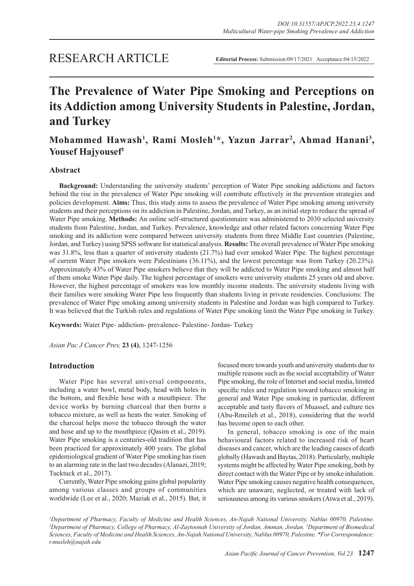# **The Prevalence of Water Pipe Smoking and Perceptions on its Addiction among University Students in Palestine, Jordan, and Turkey**

# Mohammed Hawash<sup>1</sup>, Rami Mosleh<sup>1\*</sup>, Yazun Jarrar<sup>2</sup>, Ahmad Hanani<sup>3</sup>, **Yousef Hajyousef1**

# **Abstract**

**Background:** Understanding the university students' perception of Water Pipe smoking addictions and factors behind the rise in the prevalence of Water Pipe smoking will contribute effectively in the prevention strategies and policies development. **Aims:** Thus, this study aims to assess the prevalence of Water Pipe smoking among university students and their perceptions on its addiction in Palestine, Jordan, and Turkey, as an initial step to reduce the spread of Water Pipe smoking. **Methods:** An online self-structured questionnaire was administered to 2030 selected university students from Palestine, Jordan, and Turkey. Prevalence, knowledge and other related factors concerning Water Pipe smoking and its addiction were compared between university students from three Middle East countries (Palestine, Jordan, and Turkey) using SPSS software for statistical analysis. **Results:** The overall prevalence of Water Pipe smoking was 31.8%, less than a quarter of university students (21.7%) had ever smoked Water Pipe. The highest percentage of current Water Pipe smokers were Palestinians (36.11%), and the lowest percentage was from Turkey (20.23%). Approximately 43% of Water Pipe smokers believe that they will be addicted to Water Pipe smoking and almost half of them smoke Water Pipe daily. The highest percentage of smokers were university students 25 years old and above. However, the highest percentage of smokers was low monthly income students. The university students living with their families were smoking Water Pipe less frequently than students living in private residencies. Conclusions: The prevalence of Water Pipe smoking among university students in Palestine and Jordan was high compared to Turkey. It was believed that the Turkish rules and regulations of Water Pipe smoking limit the Water Pipe smoking in Turkey.

**Keywords:** Water Pipe- addiction- prevalence- Palestine- Jordan- Turkey

*Asian Pac J Cancer Prev,* **23 (4)**, 1247-1256

# **Introduction**

Water Pipe has several universal components, including a water bowl, metal body, head with holes in the bottom, and flexible hose with a mouthpiece. The device works by burning charcoal that then burns a tobacco mixture, as well as heats the water. Smoking of the charcoal helps move the tobacco through the water and hose and up to the mouthpiece (Qasim et al., 2019). Water Pipe smoking is a centuries-old tradition that has been practiced for approximately 400 years. The global epidemiological gradient of Water Pipe smoking has risen to an alarming rate in the last two decades (Alanazi, 2019; Tucktuck et al., 2017).

Currently, Water Pipe smoking gains global popularity among various classes and groups of communities worldwide (Lee et al., 2020; Maziak et al., 2015). But, it

focused more towards youth and university students due to multiple reasons such as the social acceptability of Water Pipe smoking, the role of Internet and social media, limited specific rules and regulation toward tobacco smoking in general and Water Pipe smoking in particular, different acceptable and tasty flavors of Muassel, and culture ties (Abu-Rmeileh et al., 2018), considering that the world has become open to each other.

In general, tobacco smoking is one of the main behavioural factors related to increased risk of heart diseases and cancer, which are the leading causes of death globally (Hawash and Baytas, 2018). Particularly, multiple systems might be affected by Water Pipe smoking, both by direct contact with the Water Pipe or by smoke inhalation. Water Pipe smoking causes negative health consequences, which are unaware, neglected, or treated with lack of seriousness among its various smokers (Atwa et al., 2019).

<sup>1</sup>Department of Pharmacy, Faculty of Medicine and Health Sciences, An-Najah National University, Nablus 00970, Palestine. *2 Department of Pharmacy, College of Pharmacy, Al-Zaytoonah University of Jordan, Amman, Jordan. 3 Department of Biomedical Sciences, Faculty of Medicine and Health Sciences, An-Najah National University, Nablus 00970, Palestine. \*For Correspondence: r.musleh@najah.edu*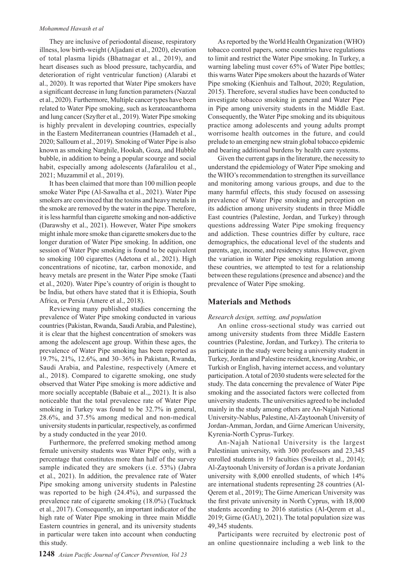They are inclusive of periodontal disease, respiratory illness, low birth-weight (Aljadani et al., 2020), elevation of total plasma lipids (Bhatnagar et al., 2019), and heart diseases such as blood pressure, tachycardia, and deterioration of right ventricular function) (Alarabi et al., 2020). It was reported that Water Pipe smokers have a significant decrease in lung function parameters (Nazzal et al., 2020). Furthermore, Multiple cancer types have been related to Water Pipe smoking, such as keratoacanthoma and lung cancer (Szyfter et al., 2019). Water Pipe smoking is highly prevalent in developing countries, especially in the Eastern Mediterranean countries (Hamadeh et al., 2020; Salloum et al., 2019). Smoking of Water Pipe is also known as smoking Narghile, Hookah, Goza, and Hubble bubble, in addition to being a popular scourge and social habit, especially among adolescents (Jafaralilou et al., 2021; Muzammil et al., 2019).

It has been claimed that more than 100 million people smoke Water Pipe (Al-Sawalha et al., 2021). Water Pipe smokers are convinced that the toxins and heavy metals in the smoke are removed by the water in the pipe. Therefore, it is less harmful than cigarette smoking and non-addictive (Darawshy et al., 2021). However, Water Pipe smokers might inhale more smoke than cigarette smokers due to the longer duration of Water Pipe smoking. In addition, one session of Water Pipe smoking is found to be equivalent to smoking 100 cigarettes (Adetona et al., 2021). High concentrations of nicotine, tar, carbon monoxide, and heavy metals are present in the Water Pipe smoke (Taati et al., 2020). Water Pipe's country of origin is thought to be India, but others have stated that it is Ethiopia, South Africa, or Persia (Amere et al., 2018).

Reviewing many published studies concerning the prevalence of Water Pipe smoking conducted in various countries (Pakistan, Rwanda, Saudi Arabia, and Palestine), it is clear that the highest concentration of smokers was among the adolescent age group. Within these ages, the prevalence of Water Pipe smoking has been reported as 19.7%, 21%, 12.6%, and 30–36% in Pakistan, Rwanda, Saudi Arabia, and Palestine, respectively (Amere et al., 2018). Compared to cigarette smoking, one study observed that Water Pipe smoking is more addictive and more socially acceptable (Babaie et al.,, 2021). It is also noticeable that the total prevalence rate of Water Pipe smoking in Turkey was found to be 32.7% in general, 28.6%, and 37.5% among medical and non-medical university students in particular, respectively, as confirmed by a study conducted in the year 2010.

Furthermore, the preferred smoking method among female university students was Water Pipe only, with a percentage that constitutes more than half of the survey sample indicated they are smokers (i.e. 53%) (Jabra et al., 2021). In addition, the prevalence rate of Water Pipe smoking among university students in Palestine was reported to be high (24.4%), and surpassed the prevalence rate of cigarette smoking (18.0%) (Tucktuck et al., 2017). Consequently, an important indicator of the high rate of Water Pipe smoking in three main Middle Eastern countries in general, and its university students in particular were taken into account when conducting this study.

As reported by the World Health Organization (WHO) tobacco control papers, some countries have regulations to limit and restrict the Water Pipe smoking. In Turkey, a warning labeling must cover 65% of Water Pipe bottles; this warns Water Pipe smokers about the hazards of Water Pipe smoking (Kienhuis and Talhout, 2020; Regulation, 2015). Therefore, several studies have been conducted to investigate tobacco smoking in general and Water Pipe in Pipe among university students in the Middle East. Consequently, the Water Pipe smoking and its ubiquitous practice among adolescents and young adults prompt worrisome health outcomes in the future, and could prelude to an emerging new strain global tobacco epidemic and bearing additional burdens by health care systems.

Given the current gaps in the literature, the necessity to understand the epidemiology of Water Pipe smoking and the WHO's recommendation to strengthen its surveillance and monitoring among various groups, and due to the many harmful effects, this study focused on assessing prevalence of Water Pipe smoking and perception on its addiction among university students in three Middle East countries (Palestine, Jordan, and Turkey) through questions addressing Water Pipe smoking frequency and addiction. These countries differ by culture, race demographics, the educational level of the students and parents, age, income, and residency status. However, given the variation in Water Pipe smoking regulation among these countries, we attempted to test for a relationship between these regulations (presence and absence) and the prevalence of Water Pipe smoking.

# **Materials and Methods**

#### *Research design, setting, and population*

An online cross-sectional study was carried out among university students from three Middle Eastern countries (Palestine, Jordan, and Turkey). The criteria to participate in the study were being a university student in Turkey, Jordan and Palestine resident, knowing Arabic, or Turkish or English, having internet access, and voluntary participation. A total of 2030 students were selected for the study. The data concerning the prevalence of Water Pipe smoking and the associated factors were collected from university students. The universities agreed to be included mainly in the study among others are An-Najah National University-Nablus, Palestine, Al-Zaytoonah University of Jordan-Amman, Jordan, and Girne American University, Kyrenia-North Cyprus-Turkey.

An-Najah National University is the largest Palestinian university, with 300 professors and 23,345 enrolled students in 19 faculties (Sweileh et al., 2014); Al-Zaytoonah University of Jordan is a private Jordanian university with 8,000 enrolled students, of which 14% are international students representing 28 countries (Al-Qerem et al., 2019); The Girne American University was the first private university in North Cyprus, with 18,000 students according to 2016 statistics (Al-Qerem et al., 2019; Girne (GAU), 2021). The total population size was 49,345 students.

Participants were recruited by electronic post of an online questionnaire including a web link to the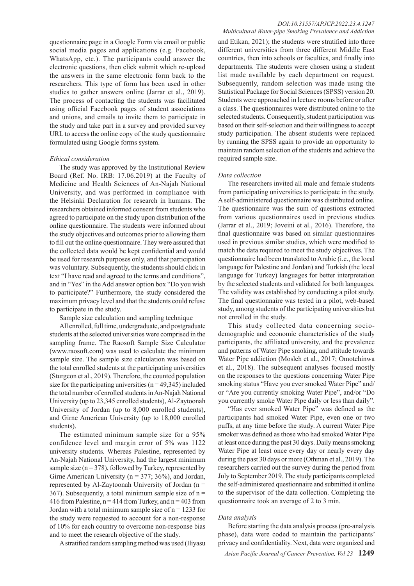questionnaire page in a Google Form via email or public social media pages and applications (e.g. Facebook, WhatsApp, etc.). The participants could answer the electronic questions, then click submit which re-upload the answers in the same electronic form back to the researchers. This type of form has been used in other studies to gather answers online (Jarrar et al., 2019). The process of contacting the students was facilitated using official Facebook pages of student associations and unions, and emails to invite them to participate in the study and take part in a survey and provided survey URL to access the online copy of the study questionnaire formulated using Google forms system.

#### *Ethical consideration*

The study was approved by the Institutional Review Board (Ref. No. IRB: 17.06.2019) at the Faculty of Medicine and Health Sciences of An-Najah National University, and was performed in compliance with the Helsinki Declaration for research in humans. The researchers obtained informed consent from students who agreed to participate on the study upon distribution of the online questionnaire. The students were informed about the study objectives and outcomes prior to allowing them to fill out the online questionnaire. They were assured that the collected data would be kept confidential and would be used for research purposes only, and that participation was voluntary. Subsequently, the students should click in text "I have read and agreed to the terms and conditions", and in "Yes" in the Add answer option box "Do you wish to participate?" Furthermore, the study considered the maximum privacy level and that the students could refuse to participate in the study.

Sample size calculation and sampling technique

All enrolled, full time, undergraduate, and postgraduate students at the selected universities were comprised in the sampling frame. The Raosoft Sample Size Calculator (www.raosoft.com) was used to calculate the minimum sample size. The sample size calculation was based on the total enrolled students at the participating universities (Sturgeon et al., 2019). Therefore, the counted population size for the participating universities ( $n = 49,345$ ) included the total number of enrolled students in An-Najah National University (up to 23,345 enrolled students), Al-Zaytoonah University of Jordan (up to 8,000 enrolled students), and Girne American University (up to 18,000 enrolled students).

The estimated minimum sample size for a 95% confidence level and margin error of 5% was 1122 university students. Whereas Palestine, represented by An-Najah National University, had the largest minimum sample size ( $n = 378$ ), followed by Turkey, represented by Girne American University ( $n = 377$ ; 36%), and Jordan, represented by Al-Zaytoonah University of Jordan ( $n =$ 367). Subsequently, a total minimum sample size of  $n =$ 416 from Palestine,  $n = 414$  from Turkey, and  $n = 403$  from Jordan with a total minimum sample size of  $n = 1233$  for the study were requested to account for a non-response of 10% for each country to overcome non-response bias and to meet the research objective of the study.

A stratified random sampling method was used (Iliyasu

#### *DOI:10.31557/APJCP.2022.23.4.1247 Multicultural Water-pipe Smoking Prevalence and Addiction*

and Etikan, 2021); the students were stratified into three different universities from three different Middle East countries, then into schools or faculties, and finally into departments. The students were chosen using a student list made available by each department on request. Subsequently, random selection was made using the Statistical Package for Social Sciences (SPSS) version 20. Students were approached in lecture rooms before or after a class. The questionnaires were distributed online to the selected students. Consequently, student participation was based on their self-selection and their willingness to accept study participation. The absent students were replaced by running the SPSS again to provide an opportunity to maintain random selection of the students and achieve the required sample size.

#### *Data collection*

The researchers invited all male and female students from participating universities to participate in the study. A self-administered questionnaire was distributed online. The questionnaire was the sum of questions extracted from various questionnaires used in previous studies (Jarrar et al., 2019; Joveini et al., 2016). Therefore, the final questionnaire was based on similar questionnaires used in previous similar studies, which were modified to match the data required to meet the study objectives. The questionnaire had been translated to Arabic (i.e., the local language for Palestine and Jordan) and Turkish (the local language for Turkey) languages for better interpretation by the selected students and validated for both languages. The validity was established by conducting a pilot study. The final questionnaire was tested in a pilot, web-based study, among students of the participating universities but not enrolled in the study.

This study collected data concerning sociodemographic and economic characteristics of the study participants, the affiliated university, and the prevalence and patterns of Water Pipe smoking, and attitude towards Water Pipe addiction (Mosleh et al., 2017; Omotehinwa et al., 2018). The subsequent analyses focused mostly on the responses to the questions concerning Water Pipe smoking status "Have you ever smoked Water Pipe" and/ or "Are you currently smoking Water Pipe", and/or "Do you currently smoke Water Pipe daily or less than daily".

"Has ever smoked Water Pipe" was defined as the participants had smoked Water Pipe, even one or two puffs, at any time before the study. A current Water Pipe smoker was defined as those who had smoked Water Pipe at least once during the past 30 days. Daily means smoking Water Pipe at least once every day or nearly every day during the past 30 days or more (Othman et al., 2019). The researchers carried out the survey during the period from July to September 2019. The study participants completed the self-administered questionnaire and submitted it online to the supervisor of the data collection. Completing the questionnaire took an average of 2 to 3 min.

#### *Data analysis*

Before starting the data analysis process (pre-analysis phase), data were coded to maintain the participants' privacy and confidentiality. Next, data were organized and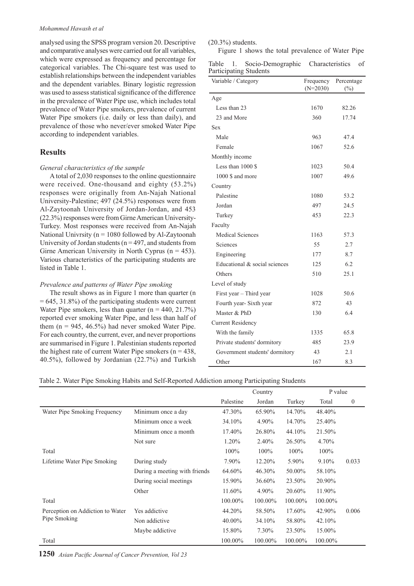analysed using the SPSS program version 20. Descriptive and comparative analyses were carried out for all variables, which were expressed as frequency and percentage for categorical variables. The Chi-square test was used to establish relationships between the independent variables and the dependent variables. Binary logistic regression was used to assess statistical significance of the difference in the prevalence of Water Pipe use, which includes total prevalence of Water Pipe smokers, prevalence of current Water Pipe smokers (i.e. daily or less than daily), and prevalence of those who never/ever smoked Water Pipe according to independent variables.

# **Results**

#### *General characteristics of the sample*

A total of 2,030 responses to the online questionnaire were received. One-thousand and eighty (53.2%) responses were originally from An-Najah National University-Palestine; 497 (24.5%) responses were from Al-Zaytoonah University of Jordan-Jordan, and 453 (22.3%) responses were from Girne American University-Turkey. Most responses were received from An-Najah National Univrsity ( $n = 1080$  followed by Al-Zaytoonah University of Jordan students ( $n = 497$ , and students from Girne American University in North Cyprus ( $n = 453$ ). Various characteristics of the participating students are listed in Table 1.

#### *Prevalence and patterns of Water Pipe smoking*

The result shows as in Figure 1 more than quarter (n  $= 645, 31.8\%$ ) of the participating students were current Water Pipe smokers, less than quarter  $(n = 440, 21.7%)$ reported ever smoking Water Pipe, and less than half of them  $(n = 945, 46.5\%)$  had never smoked Water Pipe. For each country, the current, ever, and never proportions are summarised in Figure 1. Palestinian students reported the highest rate of current Water Pipe smokers ( $n = 438$ , 40.5%), followed by Jordanian (22.7%) and Turkish

#### (20.3%) students.

Figure 1 shows the total prevalence of Water Pipe

| Table | Socio-Demographic      | Characteristics of |  |
|-------|------------------------|--------------------|--|
|       | Participating Students |                    |  |

| Variable / Category            | Frequency<br>$(N=2030)$ | Percentage<br>$(\%)$ |
|--------------------------------|-------------------------|----------------------|
| Age                            |                         |                      |
| Less than 23                   | 1670                    | 82.26                |
| 23 and More                    | 360                     | 17.74                |
| <b>Sex</b>                     |                         |                      |
| Male                           | 963                     | 47.4                 |
| Female                         | 1067                    | 52.6                 |
| Monthly income                 |                         |                      |
| Less than 1000 \$              | 1023                    | 50.4                 |
| 1000 \$ and more               | 1007                    | 49.6                 |
| Country                        |                         |                      |
| Palestine                      | 1080                    | 53.2                 |
| Jordan                         | 497                     | 24.5                 |
| Turkey                         | 453                     | 22.3                 |
| Faculty                        |                         |                      |
| Medical Sciences               | 1163                    | 57.3                 |
| Sciences                       | 55                      | 2.7                  |
| Engineering                    | 177                     | 8.7                  |
| Educational & social sciences  | 125                     | 6.2                  |
| Others                         | 510                     | 25.1                 |
| Level of study                 |                         |                      |
| First year - Third year        | 1028                    | 50.6                 |
| Fourth year-Sixth year         | 872                     | 43                   |
| Master & PhD                   | 130                     | 6.4                  |
| <b>Current Residency</b>       |                         |                      |
| With the family                | 1335                    | 65.8                 |
| Private students' dormitory    | 485                     | 23.9                 |
| Government students' dormitory | 43                      | 2.1                  |
| Other                          | 167                     | 8.3                  |

#### Table 2. Water Pipe Smoking Habits and Self-Reported Addiction among Participating Students

|                                  |                               | Country   |         |         | P value |                  |
|----------------------------------|-------------------------------|-----------|---------|---------|---------|------------------|
|                                  |                               | Palestine | Jordan  | Turkey  | Total   | $\boldsymbol{0}$ |
| Water Pipe Smoking Frequency     | Minimum once a day            | 47.30%    | 65.90%  | 14.70%  | 48.40%  |                  |
|                                  | Minimum once a week           | 34.10%    | 4.90%   | 14.70%  | 25.40%  |                  |
|                                  | Minimum once a month          | 17.40%    | 26.80%  | 44.10%  | 21.50%  |                  |
|                                  | Not sure                      | 1.20%     | 2.40%   | 26.50%  | 4.70%   |                  |
| Total                            |                               | 100%      | $100\%$ | $100\%$ | $100\%$ |                  |
| Lifetime Water Pipe Smoking      | During study                  | 7.90%     | 12.20%  | 5.90%   | 9.10%   | 0.033            |
|                                  | During a meeting with friends | 64.60%    | 46.30%  | 50.00%  | 58.10%  |                  |
|                                  | During social meetings        | 15.90%    | 36.60%  | 23.50%  | 20.90%  |                  |
|                                  | Other                         | 11.60%    | 4.90%   | 20.60%  | 11.90%  |                  |
| Total                            |                               | 100.00%   | 100.00% | 100.00% | 100.00% |                  |
| Perception on Addiction to Water | Yes addictive                 | 44.20%    | 58.50%  | 17.60%  | 42.90%  | 0.006            |
| Pipe Smoking                     | Non addictive                 | 40.00%    | 34.10%  | 58.80%  | 42.10%  |                  |
|                                  | Maybe addictive               | 15.80%    | 7.30%   | 23.50%  | 15.00%  |                  |
| Total                            |                               | 100.00%   | 100.00% | 100.00% | 100.00% |                  |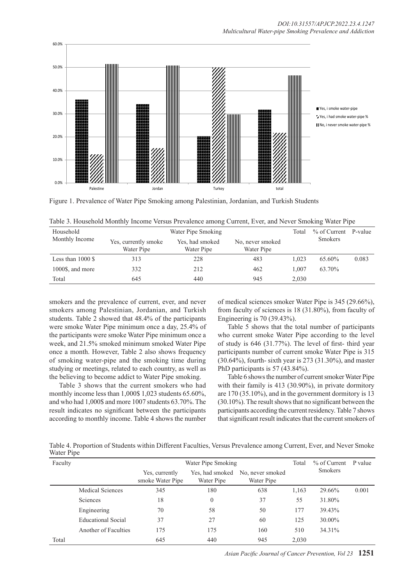

Figure 1. Prevalence of Water Pipe Smoking among Palestinian, Jordanian, and Turkish Students

| Table 3. Household Monthly Income Versus Prevalence among Current, Ever, and Never Smoking Water Pipe |  |  |  |
|-------------------------------------------------------------------------------------------------------|--|--|--|
|                                                                                                       |  |  |  |

| Household           |                                    | Total                         | % of Current P-value           |       |                |       |
|---------------------|------------------------------------|-------------------------------|--------------------------------|-------|----------------|-------|
| Monthly Income      | Yes, currently smoke<br>Water Pipe | Yes, had smoked<br>Water Pipe | No, never smoked<br>Water Pipe |       | <b>Smokers</b> |       |
| Less than $1000$ \$ | 313                                | 228                           | 483                            | 1.023 | 65.60%         | 0.083 |
| 1000\$, and more    | 332                                | 212                           | 462                            | 1.007 | 63.70%         |       |
| Total               | 645                                | 440                           | 945                            | 2.030 |                |       |

smokers and the prevalence of current, ever, and never smokers among Palestinian, Jordanian, and Turkish students. Table 2 showed that 48.4% of the participants were smoke Water Pipe minimum once a day, 25.4% of the participants were smoke Water Pipe minimum once a week, and 21.5% smoked minimum smoked Water Pipe once a month. However, Table 2 also shows frequency of smoking water-pipe and the smoking time during studying or meetings, related to each country, as well as the believing to become addict to Water Pipe smoking.

Table 3 shows that the current smokers who had monthly income less than 1,000\$ 1,023 students 65.60%, and who had 1,000\$ and more 1007 students 63.70%. The result indicates no significant between the participants according to monthly income. Table 4 shows the number

of medical sciences smoker Water Pipe is 345 (29.66%), from faculty of sciences is 18 (31.80%), from faculty of Engineering is 70 (39.43%).

Table 5 shows that the total number of participants who current smoke Water Pipe according to the level of study is 646 (31.77%). The level of first- third year participants number of current smoke Water Pipe is 315 (30.64%), fourth- sixth year is 273 (31.30%), and master PhD participants is 57 (43.84%).

Table 6 shows the number of current smoker Water Pipe with their family is 413 (30.90%), in private dormitory are 170 (35.10%), and in the government dormitory is 13 (30.10%). The result shows that no significant between the participants according the current residency. Table 7 shows that significant result indicates that the current smokers of

Table 4. Proportion of Students within Different Faculties, Versus Prevalence among Current, Ever, and Never Smoke Water Pipe

| Faculty |                           | Water Pipe Smoking                 |                               |                                |       | $%$ of Current | P value |
|---------|---------------------------|------------------------------------|-------------------------------|--------------------------------|-------|----------------|---------|
|         |                           | Yes, currently<br>smoke Water Pipe | Yes, had smoked<br>Water Pipe | No, never smoked<br>Water Pipe |       | Smokers        |         |
|         | <b>Medical Sciences</b>   | 345                                | 180                           | 638                            | 1,163 | 29.66%         | 0.001   |
|         | Sciences                  | 18                                 | $\theta$                      | 37                             | 55    | 31.80%         |         |
|         | Engineering               | 70                                 | 58                            | 50                             | 177   | 39.43%         |         |
|         | <b>Educational Social</b> | 37                                 | 27                            | 60                             | 125   | 30.00%         |         |
|         | Another of Faculties      | 175                                | 175                           | 160                            | 510   | 34.31%         |         |
| Total   |                           | 645                                | 440                           | 945                            | 2.030 |                |         |

*Asian Pacific Journal of Cancer Prevention, Vol 23* **1251**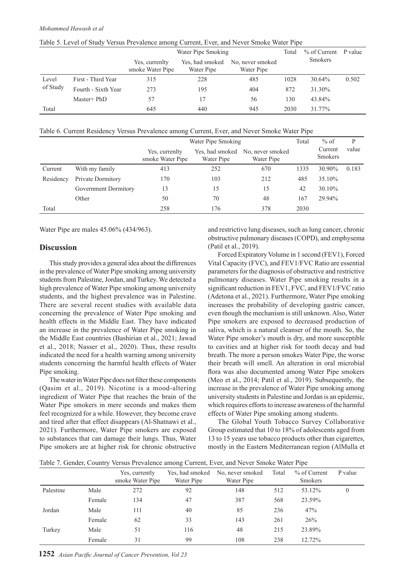| Table 5. Level of Study Versus Prevalence among Current, Ever, and Never Smoke Water Pipe |  |
|-------------------------------------------------------------------------------------------|--|
|                                                                                           |  |

|          |                     | Water Pipe Smoking                 |                               |                                |      | % of Current P value |       |
|----------|---------------------|------------------------------------|-------------------------------|--------------------------------|------|----------------------|-------|
|          |                     | Yes, currenlty<br>smoke Water Pipe | Yes, had smoked<br>Water Pipe | No. never smoked<br>Water Pipe |      | <b>Smokers</b>       |       |
| Level    | First - Third Year  | 315                                | 228                           | 485                            | 1028 | 30.64%               | 0.502 |
| of Study | Fourth - Sixth Year | 273                                | 195                           | 404                            | 872  | 31.30%               |       |
|          | Master+ PhD         | 57                                 | 17                            | 56                             | 130  | 43.84%               |       |
| Total    |                     | 645                                | 440                           | 945                            | 2030 | 31.77%               |       |

Table 6. Current Residency Versus Prevalence among Current, Ever, and Never Smoke Water Pipe

|           |                      | Water Pipe Smoking                 |                               |                                |      | $%$ of                    | P     |
|-----------|----------------------|------------------------------------|-------------------------------|--------------------------------|------|---------------------------|-------|
|           |                      | Yes, currenlty<br>smoke Water Pipe | Yes, had smoked<br>Water Pipe | No, never smoked<br>Water Pipe |      | Current<br><b>Smokers</b> | value |
| Current   | With my family       | 413                                | 252                           | 670                            | 1335 | 30.90%                    | 0.183 |
| Residency | Private Dormitory    | 170                                | 103                           | 212                            | 485  | 35.10%                    |       |
|           | Government Dormitory | 13                                 | 15                            | 15                             | 42   | 30.10%                    |       |
|           | Other                | 50                                 | 70                            | 48                             | 167  | 29.94%                    |       |
| Total     |                      | 258                                | 176                           | 378                            | 2030 |                           |       |

Water Pipe are males 45.06% (434/963).

## **Discussion**

This study provides a general idea about the differences in the prevalence of Water Pipe smoking among university students from Palestine, Jordan, and Turkey. We detected a high prevalence of Water Pipe smoking among university students, and the highest prevalence was in Palestine. There are several recent studies with available data concerning the prevalence of Water Pipe smoking and health effects in the Middle East. They have indicated an increase in the prevalence of Water Pipe smoking in the Middle East countries (Bashirian et al., 2021; Jawad et al., 2018; Nasser et al., 2020). Thus, these results indicated the need for a health warning among university students concerning the harmful health effects of Water Pipe smoking.

The water in Water Pipe does not filter these components (Qasim et al., 2019). Nicotine is a mood-altering ingredient of Water Pipe that reaches the brain of the Water Pipe smokers in mere seconds and makes them feel recognized for a while. However, they become crave and tired after that effect disappears (Al-Shatnawi et al., 2021). Furthermore, Water Pipe smokers are exposed to substances that can damage their lungs. Thus, Water Pipe smokers are at higher risk for chronic obstructive

and restrictive lung diseases, such as lung cancer, chronic obstructive pulmonary diseases (COPD), and emphysema (Patil et al., 2019).

Forced Expiratory Volume in 1 second (FEV1), Forced Vital Capacity (FVC), and FEV1/FVC Ratio are essential parameters for the diagnosis of obstructive and restrictive pulmonary diseases. Water Pipe smoking results in a significant reduction in FEV1, FVC, and FEV1/FVC ratio (Adetona et al., 2021). Furthermore, Water Pipe smoking increases the probability of developing gastric cancer, even though the mechanism is still unknown. Also, Water Pipe smokers are exposed to decreased production of saliva, which is a natural cleanser of the mouth. So, the Water Pipe smoker's mouth is dry, and more susceptible to cavities and at higher risk for tooth decay and bad breath. The more a person smokes Water Pipe, the worse their breath will smell. An alteration in oral microbial flora was also documented among Water Pipe smokers (Meo et al., 2014; Patil et al., 2019). Subsequently, the increase in the prevalence of Water Pipe smoking among university students in Palestine and Jordan is an epidemic, which requires efforts to increase awareness of the harmful effects of Water Pipe smoking among students.

The Global Youth Tobacco Survey Collaborative Group estimated that 10 to 18% of adolescents aged from 13 to 15 years use tobacco products other than cigarettes, mostly in the Eastern Mediterranean region (AlMulla et

Table 7. Gender, Country Versus Prevalence among Current, Ever, and Never Smoke Water Pipe

|           |        | Yes, currently<br>smoke Water Pipe | Yes, had smoked<br>Water Pipe | No, never smoked<br>Water Pipe | Total | % of Current<br><b>Smokers</b> | P value  |
|-----------|--------|------------------------------------|-------------------------------|--------------------------------|-------|--------------------------------|----------|
| Palestine | Male   | 272                                | 92                            | 148                            | 512   | 53.12%                         | $\theta$ |
|           | Female | 134                                | 47                            | 387                            | 568   | 23.59%                         |          |
| Jordan    | Male   | 111                                | 40                            | 85                             | 236   | 47%                            |          |
|           | Female | 62                                 | 33                            | 143                            | 261   | 26%                            |          |
| Turkey    | Male   | 51                                 | 116                           | 48                             | 215   | 23.89%                         |          |
|           | Female | 31                                 | 99                            | 108                            | 238   | 12.72%                         |          |

**1252** *Asian Pacific Journal of Cancer Prevention, Vol 23*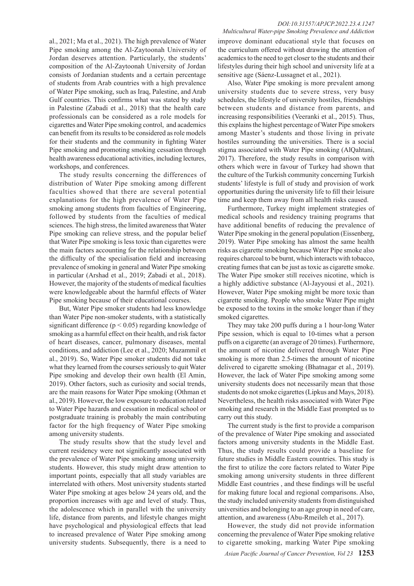#### *DOI:10.31557/APJCP.2022.23.4.1247 Multicultural Water-pipe Smoking Prevalence and Addiction*

al., 2021; Ma et al., 2021). The high prevalence of Water Pipe smoking among the Al-Zaytoonah University of Jordan deserves attention. Particularly, the students' composition of the Al-Zaytoonah University of Jordan consists of Jordanian students and a certain percentage of students from Arab countries with a high prevalence of Water Pipe smoking, such as Iraq, Palestine, and Arab Gulf countries. This confirms what was stated by study in Palestine (Zabadi et al., 2018) that the health care professionals can be considered as a role models for cigarettes and Water Pipe smoking control, and academics can benefit from its results to be considered as role models for their students and the community in fighting Water Pipe smoking and promoting smoking cessation through health awareness educational activities, including lectures, workshops, and conferences.

The study results concerning the differences of distribution of Water Pipe smoking among different faculties showed that there are several potential explanations for the high prevalence of Water Pipe smoking among students from faculties of Engineering, followed by students from the faculties of medical sciences. The high stress, the limited awareness that Water Pipe smoking can relieve stress, and the popular belief that Water Pipe smoking is less toxic than cigarettes were the main factors accounting for the relationship between the difficulty of the specialisation field and increasing prevalence of smoking in general and Water Pipe smoking in particular (Arshad et al., 2019; Zabadi et al., 2018). However, the majority of the students of medical faculties were knowledgeable about the harmful effects of Water Pipe smoking because of their educational courses.

But, Water Pipe smoker students had less knowledge than Water Pipe non-smoker students, with a statistically significant difference ( $p < 0.05$ ) regarding knowledge of smoking as a harmful effect on their health, and risk factor of heart diseases, cancer, pulmonary diseases, mental conditions, and addiction (Lee et al., 2020; Muzammil et al., 2019). So, Water Pipe smoker students did not take what they learned from the courses seriously to quit Water Pipe smoking and develop their own health (El Amin, 2019). Other factors, such as curiosity and social trends, are the main reasons for Water Pipe smoking (Othman et al., 2019). However, the low exposure to education related to Water Pipe hazards and cessation in medical school or postgraduate training is probably the main contributing factor for the high frequency of Water Pipe smoking among university students.

The study results show that the study level and current residency were not significantly associated with the prevalence of Water Pipe smoking among university students. However, this study might draw attention to important points, especially that all study variables are interrelated with others. Most university students started Water Pipe smoking at ages below 24 years old, and the proportion increases with age and level of study. Thus, the adolescence which in parallel with the university life, distance from parents, and lifestyle changes might have psychological and physiological effects that lead to increased prevalence of Water Pipe smoking among university students. Subsequently, there is a need to

improve dominant educational style that focuses on the curriculum offered without drawing the attention of academics to the need to get closer to the students and their lifestyles during their high school and university life at a sensitive age (Sáenz-Lussagnet et al., 2021).

Also, Water Pipe smoking is more prevalent among university students due to severe stress, very busy schedules, the lifestyle of university hostiles, friendships between students and distance from parents, and increasing responsibilities (Veeranki et al., 2015). Thus, this explains the highest percentage of Water Pipe smokers among Master's students and those living in private hostiles surrounding the universities. There is a social stigma associated with Water Pipe smoking (AlQahtani, 2017). Therefore, the study results in comparison with others which were in favour of Turkey had shown that the culture of the Turkish community concerning Turkish students' lifestyle is full of study and provision of work opportunities during the university life to fill their leisure time and keep them away from all health risks caused.

Furthermore, Turkey might implement strategies of medical schools and residency training programs that have additional benefits of reducing the prevalence of Water Pipe smoking in the general population (Eissenberg, 2019). Water Pipe smoking has almost the same health risks as cigarette smoking because Water Pipe smoke also requires charcoal to be burnt, which interacts with tobacco, creating fumes that can be just as toxic as cigarette smoke. The Water Pipe smoker still receives nicotine, which is a highly addictive substance (Al-Jayyousi et al., 2021). However, Water Pipe smoking might be more toxic than cigarette smoking. People who smoke Water Pipe might be exposed to the toxins in the smoke longer than if they smoked cigarettes.

They may take 200 puffs during a 1 hour-long Water Pipe session, which is equal to 10-times what a person puffs on a cigarette (an average of 20 times). Furthermore, the amount of nicotine delivered through Water Pipe smoking is more than 2.5-times the amount of nicotine delivered to cigarette smoking (Bhatnagar et al., 2019). However, the lack of Water Pipe smoking among some university students does not necessarily mean that those students do not smoke cigarettes (Lipkus and Mays, 2018). Nevertheless, the health risks associated with Water Pipe smoking and research in the Middle East prompted us to carry out this study.

The current study is the first to provide a comparison of the prevalence of Water Pipe smoking and associated factors among university students in the Middle East. Thus, the study results could provide a baseline for future studies in Middle Eastern countries. This study is the first to utilize the core factors related to Water Pipe smoking among university students in three different Middle East countries , and these findings will be useful for making future local and regional comparisons. Also, the study included university students from distinguished universities and belonging to an age group in need of care, attention, and awareness (Abu-Rmeileh et al., 2017).

However, the study did not provide information concerning the prevalence of Water Pipe smoking relative to cigarette smoking, marking Water Pipe smoking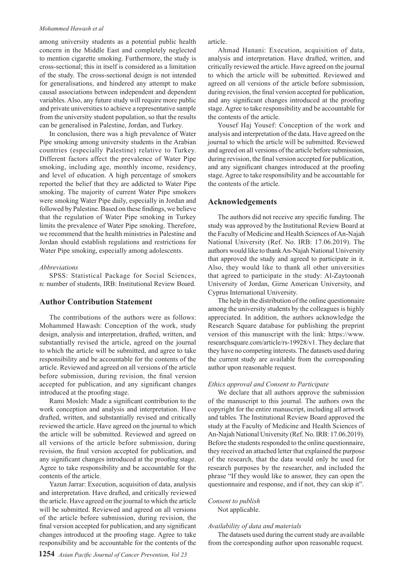among university students as a potential public health concern in the Middle East and completely neglected to mention cigarette smoking. Furthermore, the study is cross-sectional; this in itself is considered as a limitation of the study. The cross-sectional design is not intended for generalisations, and hindered any attempt to make causal associations between independent and dependent variables. Also, any future study will require more public and private universities to achieve a representative sample from the university student population, so that the results can be generalised in Palestine, Jordan, and Turkey.

In conclusion, there was a high prevalence of Water Pipe smoking among university students in the Arabian countries (especially Palestine) relative to Turkey. Different factors affect the prevalence of Water Pipe smoking, including age, monthly income, residency, and level of education. A high percentage of smokers reported the belief that they are addicted to Water Pipe smoking. The majority of current Water Pipe smokers were smoking Water Pipe daily, especially in Jordan and followed by Palestine. Based on these findings, we believe that the regulation of Water Pipe smoking in Turkey limits the prevalence of Water Pipe smoking. Therefore, we recommend that the health ministries in Palestine and Jordan should establish regulations and restrictions for Water Pipe smoking, especially among adolescents.

#### *Abbreviations*

SPSS: Statistical Package for Social Sciences, n: number of students, IRB: Institutional Review Board.

# **Author Contribution Statement**

The contributions of the authors were as follows: Mohammed Hawash: Conception of the work, study design, analysis and interpretation, drafted, written, and substantially revised the article, agreed on the journal to which the article will be submitted, and agree to take responsibility and be accountable for the contents of the article. Reviewed and agreed on all versions of the article before submission, during revision, the final version accepted for publication, and any significant changes introduced at the proofing stage.

Rami Mosleh: Made a significant contribution to the work conception and analysis and interpretation. Have drafted, written, and substantially revised and critically reviewed the article. Have agreed on the journal to which the article will be submitted. Reviewed and agreed on all versions of the article before submission, during revision, the final version accepted for publication, and any significant changes introduced at the proofing stage. Agree to take responsibility and be accountable for the contents of the article.

Yazun Jarrar: Execution, acquisition of data, analysis and interpretation. Have drafted, and critically reviewed the article. Have agreed on the journal to which the article will be submitted. Reviewed and agreed on all versions of the article before submission, during revision, the final version accepted for publication, and any significant changes introduced at the proofing stage. Agree to take responsibility and be accountable for the contents of the

Ahmad Hanani: Execution, acquisition of data, analysis and interpretation. Have drafted, written, and critically reviewed the article. Have agreed on the journal to which the article will be submitted. Reviewed and agreed on all versions of the article before submission, during revision, the final version accepted for publication, and any significant changes introduced at the proofing stage. Agree to take responsibility and be accountable for the contents of the article.

Yousef Haj Yousef: Conception of the work and analysis and interpretation of the data. Have agreed on the journal to which the article will be submitted. Reviewed and agreed on all versions of the article before submission, during revision, the final version accepted for publication, and any significant changes introduced at the proofing stage. Agree to take responsibility and be accountable for the contents of the article.

## **Acknowledgements**

The authors did not receive any specific funding. The study was approved by the Institutional Review Board at the Faculty of Medicine and Health Sciences of An-Najah National University (Ref. No. IRB: 17.06.2019). The authors would like to thank An-Najah National University that approved the study and agreed to participate in it. Also, they would like to thank all other universities that agreed to participate in the study: Al-Zaytoonah University of Jordan, Girne American University, and Cyprus International University.

The help in the distribution of the online questionnaire among the university students by the colleagues is highly appreciated. In addition, the authors acknowledge the Research Square database for publishing the preprint version of this manuscript with the link: https://www. researchsquare.com/article/rs-19928/v1. They declare that they have no competing interests. The datasets used during the current study are available from the corresponding author upon reasonable request.

#### *Ethics approval and Consent to Participate*

We declare that all authors approve the submission of the manuscript to this journal. The authors own the copyright for the entire manuscript, including all artwork and tables. The Institutional Review Board approved the study at the Faculty of Medicine and Health Sciences of An-Najah National University (Ref. No. IRB: 17.06.2019). Before the students responded to the online questionnaire, they received an attached letter that explained the purpose of the research, that the data would only be used for research purposes by the researcher, and included the phrase "If they would like to answer, they can open the questionnaire and response, and if not, they can skip it".

#### *Consent to publish* Not applicable.

#### *Availability of data and materials*

The datasets used during the current study are available from the corresponding author upon reasonable request.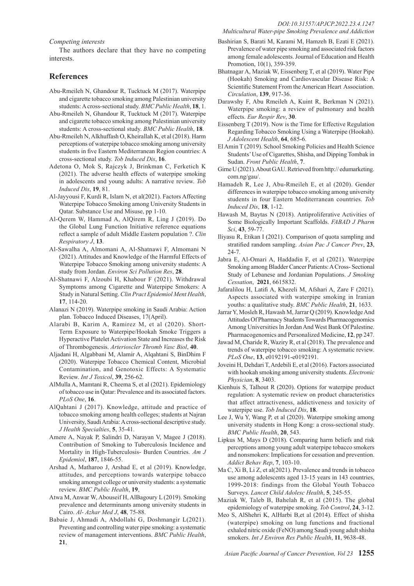#### *Competing interests*

The authors declare that they have no competing **interests** 

# **References**

- Abu-Rmeileh N, Ghandour R, Tucktuck M (2017). Waterpipe and cigarette tobacco smoking among Palestinian university students: A cross-sectional study. *BMC Public Health*, **18**, 1.
- Abu-Rmeileh N, Ghandour R, Tucktuck M (2017). Waterpipe and cigarette tobacco smoking among Palestinian university students: A cross-sectional study. *BMC Public Health*, **18**.
- Abu-Rmeileh N, Alkhuffash O, Kheirallah K, et al (2018). Harm perceptions of waterpipe tobacco smoking among university students in five Eastern Mediterranean Region countries: A cross-sectional study. *Tob Induced Dis*, **16**.
- Adetona O, Mok S, Rajczyk J, Brinkman C, Ferketich K (2021). The adverse health effects of waterpipe smoking in adolescents and young adults: A narrative review. *Tob Induced Dis*, **19**, 81.
- Al-Jayyousi F, Kurdi R, Islam N, et al(2021). Factors Affecting Waterpipe Tobacco Smoking among University Students in Qatar. Substance Use and Misuse, pp 1-10.
- Al-Qerem W, Hammad A, AlQirem R, Ling J (2019). Do the Global Lung Function Initiative reference equations reflect a sample of adult Middle Eastern population ?. *Clin Respiratory J*, **13**.
- Al-Sawalha A, Almomani A, Al-Shatnawi F, Almomani N (2021). Attitudes and Knowledge of the Harmful Effects of Waterpipe Tobacco Smoking among university students: A study from Jordan. *Environ Sci Pollution Res*, **28**.
- Al-Shatnawi F, Alzoubi H, Khabour F (2021). Withdrawal Symptoms among Cigarette and Waterpipe Smokers: A Study in Natural Setting. *Clin Pract Epidemiol Ment Health*, **17**, 114-20.
- Alanazi N (2019). Waterpipe smoking in Saudi Arabia: Action plan. Tobacco Induced Diseases, 17(April).
- Alarabi B, Karim A, Ramirez M, et al (2020). Short-Term Exposure to Waterpipe/Hookah Smoke Triggers a Hyperactive Platelet Activation State and Increases the Risk of Thrombogenesis. *Arterioscler Thromb Vasc Biol*, **40**.
- Aljadani H, Algabbani M, Alamir A, Alqahtani S, BinDhim F (2020). Waterpipe Tobacco Chemical Content, Microbial Contamination, and Genotoxic Effects: A Systematic Review. *Int J Toxicol*, **39**, 256-62.
- AlMulla A, Mamtani R, Cheema S, et al (2021). Epidemiology of tobacco use in Qatar: Prevalence and its associated factors. *PLoS One*, **16**.
- AlQahtani J (2017). Knowledge, attitude and practice of tobacco smoking among health colleges; students at Najran University, Saudi Arabia: A cross-sectional descriptive study. *J Health Specialties*, **5**, 35-41.
- Amere A, Nayak P, Salindri D, Narayan V, Magee J (2018). Contribution of Smoking to Tuberculosis Incidence and Mortality in High-Tuberculosis- Burden Countries. *Am J Epidemiol*, **187**, 1846-55.
- Arshad A, Matharoo J, Arshad E, et al (2019). Knowledge, attitudes, and perceptions towards waterpipe tobacco smoking amongst college or university students: a systematic review. *BMC Public Health*, **19**,
- Atwa M, Anwar W, Abouseif H, AlBagoury L (2019). Smoking prevalence and determinants among university students in Cairo. *Al- Azhar Med J*, **48**, 75-88.
- Babaie J, Ahmadi A, Abdollahi G, Doshmangir L(2021). Preventing and controlling water pipe smoking: a systematic review of management interventions. *BMC Public Health*, **21**,
- Bashirian S, Barati M, Karami M, Hamzeh B, Ezati E (2021). Prevalence of water pipe smoking and associated risk factors among female adolescents. Journal of Education and Health Promotion, 10(1), 359-359.
- Bhatnagar A, Maziak W, Eissenberg T, et al (2019). Water Pipe (Hookah) Smoking and Cardiovascular Disease Risk: A Scientific Statement From the American Heart Association. *Circulation*, **139**, 917-36.
- Darawshy F, Abu Rmeileh A, Kuint R, Berkman N (2021). Waterpipe smoking: a review of pulmonary and health effects. *Eur Respir Rev*, **30**.
- Eissenberg T (2019). Now is the Time for Effective Regulation Regarding Tobacco Smoking Using a Waterpipe (Hookah). *J Adolescent Health*, **64**, 685-6.
- El Amin T (2019). School Smoking Policies and Health Science Students' Use of Cigarettes, Shisha, and Dipping Tombak in Sudan. *Front Public Health*, **7**.
- Girne U (2021). About GAU. Retrieved from http:// edumarketing. com.ng/gau/.
- Hamadeh R, Lee J, Abu-Rmeileh E, et al (2020). Gender differences in waterpipe tobacco smoking among university students in four Eastern Mediterranean countries. *Tob Induced Dis*, **18**, 1-12.
- Hawash M, Baytas N (2018). Antiproliferative Activities of Some Biologically Important Scaffolds. *FABAD J Pharm Sci*, **43**, 59-77.
- Iliyasu R, Etikan I (2021). Comparison of quota sampling and stratified random sampling. *Asian Pac J Cancer Prev*, **23**, 24-7.
- Jabra E, Al-Omari A, Haddadin F, et al (2021). Waterpipe Smoking among Bladder Cancer Patients: A Cross- Sectional Study of Lebanese and Jordanian Populations. *J Smoking Cessation*, **2021**, 6615832.
- Jafaralilou H, Latifi A, Khezeli M, Afshari A, Zare F (2021). Aspects associated with waterpipe smoking in Iranian youths: a qualitative study. *BMC Public Health*, **21**, 1633.
- Jarrar Y, Mosleh R, Hawash M, Jarrar Q (2019). Knowledge And Attitudes Of Pharmacy Students Towards Pharmacogenomics Among Universities In Jordan And West Bank Of Palestine. Pharmacogenomics and Personalized Medicine, **12**, pp 247.
- Jawad M, Charide R, Waziry R, et al (2018). The prevalence and trends of waterpipe tobacco smoking: A systematic review. *PLoS One*, **13**, e0192191-e0192191.
- Joveini H, Dehdari T, Ardebili E, et al (2016). Factors associated with hookah smoking among university students. *Electronic Physician*, **8**, 3403.
- Kienhuis S, Talhout R (2020). Options for waterpipe product regulation: A systematic review on product characteristics that affect attractiveness, addictiveness and toxicity of waterpipe use. *Tob Induced Dis*, **18**.
- Lee J, Wu Y, Wang P, et al (2020). Waterpipe smoking among university students in Hong Kong: a cross-sectional study. *BMC Public Health*, **20**, 543.
- Lipkus M, Mays D (2018). Comparing harm beliefs and risk perceptions among young adult waterpipe tobacco smokers and nonsmokers: Implications for cessation and prevention. *Addict Behav Rep*, **7**, 103-10.
- Ma C, Xi B, Li Z, et al(2021). Prevalence and trends in tobacco use among adolescents aged 13-15 years in 143 countries, 1999-2018: findings from the Global Youth Tobacco Surveys. *Lancet Child Adolesc Health*, **5**, 245-55.
- Maziak W, Taleb B, Bahelah R, et al (2015). The global epidemiology of waterpipe smoking. *Tob Control*, **24**, 3-12.
- Meo S, AlShehri K, AlHarbi B,et al (2014). Effect of shisha (waterpipe) smoking on lung functions and fractional exhaled nitric oxide (FeNO) among Saudi young adult shisha smokers. *Int J Environ Res Public Health*, **11**, 9638-48.